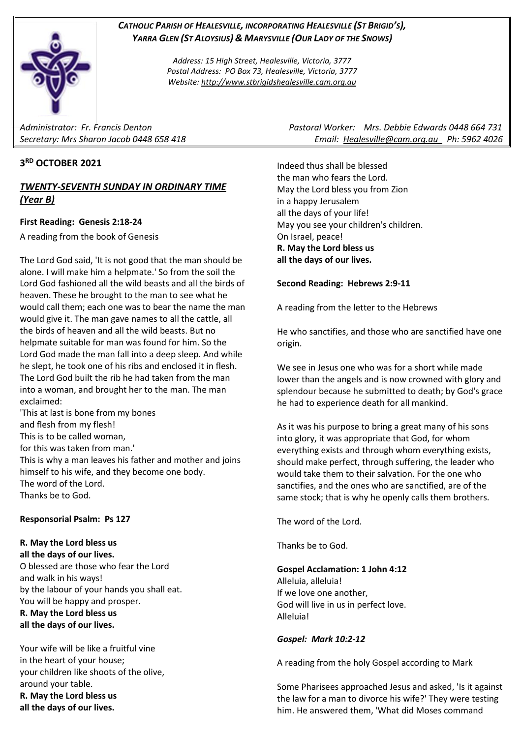# *CATHOLIC PARISH OF HEALESVILLE, INCORPORATING HEALESVILLE (ST BRIGID'S), YARRA GLEN (ST ALOYSIUS) & MARYSVILLE (OUR LADY OF THE SNOWS)*

*Address: 15 High Street, Healesville, Victoria, 3777 Postal Address: PO Box 73, Healesville, Victoria, 3777 Website: [http://www.stbrigidshealesville.cam.org.au](http://www.stbrigidshealesville.cam.org.au/)*

# **3 RD OCTOBER 2021**

## *TWENTY-SEVENTH SUNDAY IN ORDINARY TIME (Year B)*

## **First Reading: Genesis 2:18-24**

A reading from the book of Genesis

The Lord God said, 'It is not good that the man should be alone. I will make him a helpmate.' So from the soil the Lord God fashioned all the wild beasts and all the birds of heaven. These he brought to the man to see what he would call them; each one was to bear the name the man would give it. The man gave names to all the cattle, all the birds of heaven and all the wild beasts. But no helpmate suitable for man was found for him. So the Lord God made the man fall into a deep sleep. And while he slept, he took one of his ribs and enclosed it in flesh. The Lord God built the rib he had taken from the man into a woman, and brought her to the man. The man exclaimed:

'This at last is bone from my bones and flesh from my flesh! This is to be called woman, for this was taken from man.' This is why a man leaves his father and mother and joins himself to his wife, and they become one body. The word of the Lord. Thanks be to God.

### **Responsorial Psalm: Ps 127**

## **R. May the Lord bless us all the days of our lives.** O blessed are those who fear the Lord and walk in his ways! by the labour of your hands you shall eat. You will be happy and prosper.

**R. May the Lord bless us all the days of our lives.**

Your wife will be like a fruitful vine in the heart of your house; your children like shoots of the olive, around your table.

**R. May the Lord bless us all the days of our lives.**

*Administrator: Fr. Francis Denton Pastoral Worker: Mrs. Debbie Edwards 0448 664 731 Secretary: Mrs Sharon Jacob 0448 658 418 Email: [Healesville@cam.org.au](mailto:Healesville@cam.org.au) Ph: 5962 4026* 

> Indeed thus shall be blessed the man who fears the Lord. May the Lord bless you from Zion in a happy Jerusalem all the days of your life! May you see your children's children. On Israel, peace! **R. May the Lord bless us all the days of our lives.**

### **Second Reading: Hebrews 2:9-11**

A reading from the letter to the Hebrews

He who sanctifies, and those who are sanctified have one origin.

We see in Jesus one who was for a short while made lower than the angels and is now crowned with glory and splendour because he submitted to death; by God's grace he had to experience death for all mankind.

As it was his purpose to bring a great many of his sons into glory, it was appropriate that God, for whom everything exists and through whom everything exists, should make perfect, through suffering, the leader who would take them to their salvation. For the one who sanctifies, and the ones who are sanctified, are of the same stock; that is why he openly calls them brothers.

The word of the Lord.

Thanks be to God.

### **Gospel Acclamation: 1 John 4:12**

Alleluia, alleluia! If we love one another, God will live in us in perfect love. Alleluia!

### *Gospel: Mark 10:2-12*

A reading from the holy Gospel according to Mark

Some Pharisees approached Jesus and asked, 'Is it against the law for a man to divorce his wife?' They were testing him. He answered them, 'What did Moses command

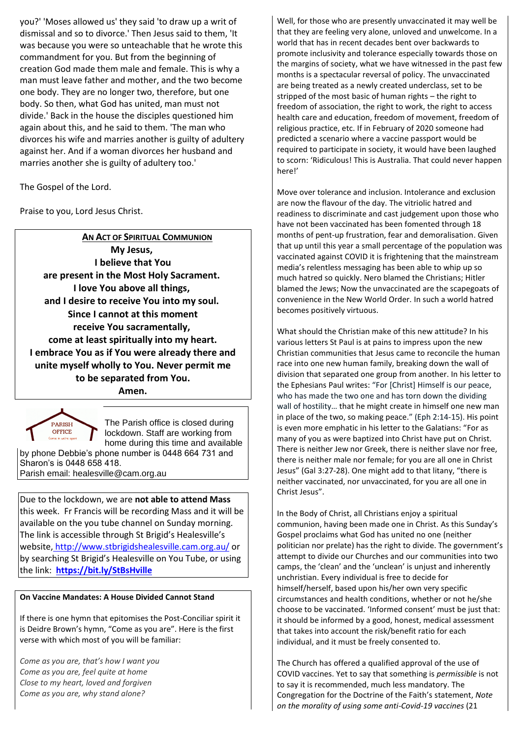you?' 'Moses allowed us' they said 'to draw up a writ of dismissal and so to divorce.' Then Jesus said to them, 'It was because you were so unteachable that he wrote this commandment for you. But from the beginning of creation God made them male and female. This is why a man must leave father and mother, and the two become one body. They are no longer two, therefore, but one body. So then, what God has united, man must not divide.' Back in the house the disciples questioned him again about this, and he said to them. 'The man who divorces his wife and marries another is guilty of adultery against her. And if a woman divorces her husband and marries another she is guilty of adultery too.'

The Gospel of the Lord.

Praise to you, Lord Jesus Christ.

**AN ACT OF SPIRITUAL COMMUNION My Jesus, I believe that You are present in the Most Holy Sacrament. I love You above all things, and I desire to receive You into my soul. Since I cannot at this moment receive You sacramentally, come at least spiritually into my heart. I embrace You as if You were already there and unite myself wholly to You. Never permit me to be separated from You. Amen.**



The Parish office is closed during lockdown. Staff are working from home during this time and available by phone Debbie's phone number is 0448 664 731 and

Sharon's is 0448 658 418. Parish email: healesville@cam.org.au

Due to the lockdown, we are **not able to attend Mass** this week. Fr Francis will be recording Mass and it will be available on the you tube channel on Sunday morning. The link is accessible through St Brigid's Healesville's website, <http://www.stbrigidshealesville.cam.org.au/> or by searching St Brigid's Healesville on You Tube, or using the link: **<https://bit.ly/StBsHville>**

## **On Vaccine Mandates: A House Divided Cannot Stand**

If there is one hymn that epitomises the Post-Conciliar spirit it is Deidre Brown's hymn, "Come as you are". Here is the first verse with which most of you will be familiar:

*Come as you are, that's how I want you Come as you are, feel quite at home Close to my heart, loved and forgiven Come as you are, why stand alone?*

Well, for those who are presently unvaccinated it may well be that they are feeling very alone, unloved and unwelcome. In a world that has in recent decades bent over backwards to promote inclusivity and tolerance especially towards those on the margins of society, what we have witnessed in the past few months is a spectacular reversal of policy. The unvaccinated are being treated as a newly created underclass, set to be stripped of the most basic of human rights – the right to freedom of association, the right to work, the right to access health care and education, freedom of movement, freedom of religious practice, etc. If in February of 2020 someone had predicted a scenario where a vaccine passport would be required to participate in society, it would have been laughed to scorn: 'Ridiculous! This is Australia. That could never happen here!'

Move over tolerance and inclusion. Intolerance and exclusion are now the flavour of the day. The vitriolic hatred and readiness to discriminate and cast judgement upon those who have not been vaccinated has been fomented through 18 months of pent-up frustration, fear and demoralisation. Given that up until this year a small percentage of the population was vaccinated against COVID it is frightening that the mainstream media's relentless messaging has been able to whip up so much hatred so quickly. Nero blamed the Christians; Hitler blamed the Jews; Now the unvaccinated are the scapegoats of convenience in the New World Order. In such a world hatred becomes positively virtuous.

What should the Christian make of this new attitude? In his various letters St Paul is at pains to impress upon the new Christian communities that Jesus came to reconcile the human race into one new human family, breaking down the wall of division that separated one group from another. In his letter to the Ephesians Paul writes: "For [Christ] Himself is our peace, who has made the two one and has torn down the dividing wall of hostility… that he might create in himself one new man in place of the two, so making peace." (Eph 2:14-15). His point is even more emphatic in his letter to the Galatians: "For as many of you as were baptized into Christ have put on Christ. There is neither Jew nor Greek, there is neither slave nor free, there is neither male nor female; for you are all one in Christ Jesus" (Gal 3:27-28). One might add to that litany, "there is neither vaccinated, nor unvaccinated, for you are all one in Christ Jesus".

In the Body of Christ, all Christians enjoy a spiritual communion, having been made one in Christ. As this Sunday's Gospel proclaims what God has united no one (neither politician nor prelate) has the right to divide. The government's attempt to divide our Churches and our communities into two camps, the 'clean' and the 'unclean' is unjust and inherently unchristian. Every individual is free to decide for himself/herself, based upon his/her own very specific circumstances and health conditions, whether or not he/she choose to be vaccinated. 'Informed consent' must be just that: it should be informed by a good, honest, medical assessment that takes into account the risk/benefit ratio for each individual, and it must be freely consented to.

The Church has offered a qualified approval of the use of COVID vaccines. Yet to say that something is *permissible* is not to say it is recommended, much less mandatory. The Congregation for the Doctrine of the Faith's statement, *Note on the morality of using some anti-Covid-19 vaccines* (21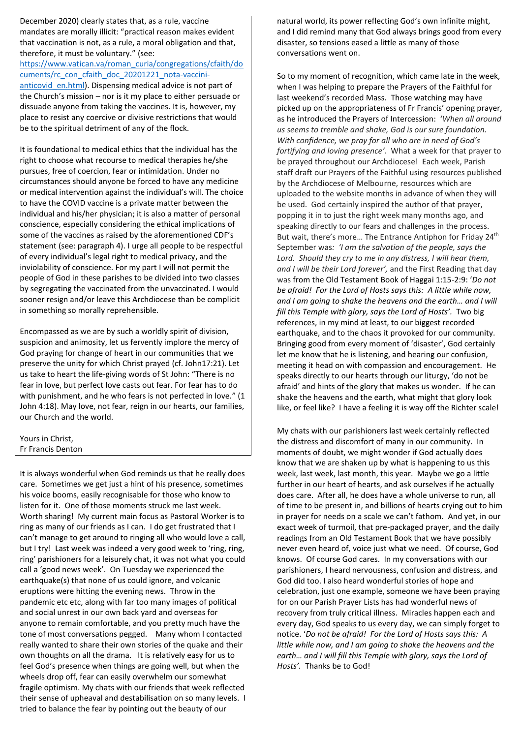December 2020) clearly states that, as a rule, vaccine mandates are morally illicit: "practical reason makes evident that vaccination is not, as a rule, a moral obligation and that, therefore, it must be voluntary." (see:

[https://www.vatican.va/roman\\_curia/congregations/cfaith/do](https://www.vatican.va/roman_curia/congregations/cfaith/documents/rc_con_cfaith_doc_20201221_nota-vaccini-anticovid_en.html) [cuments/rc\\_con\\_cfaith\\_doc\\_20201221\\_nota-vaccini-](https://www.vatican.va/roman_curia/congregations/cfaith/documents/rc_con_cfaith_doc_20201221_nota-vaccini-anticovid_en.html)

anticovid en.html). Dispensing medical advice is not part of the Church's mission – nor is it my place to either persuade or dissuade anyone from taking the vaccines. It is, however, my place to resist any coercive or divisive restrictions that would be to the spiritual detriment of any of the flock.

It is foundational to medical ethics that the individual has the right to choose what recourse to medical therapies he/she pursues, free of coercion, fear or intimidation. Under no circumstances should anyone be forced to have any medicine or medical intervention against the individual's will. The choice to have the COVID vaccine is a private matter between the individual and his/her physician; it is also a matter of personal conscience, especially considering the ethical implications of some of the vaccines as raised by the aforementioned CDF's statement (see: paragraph 4). I urge all people to be respectful of every individual's legal right to medical privacy, and the inviolability of conscience. For my part I will not permit the people of God in these parishes to be divided into two classes by segregating the vaccinated from the unvaccinated. I would sooner resign and/or leave this Archdiocese than be complicit in something so morally reprehensible.

Encompassed as we are by such a worldly spirit of division, suspicion and animosity, let us fervently implore the mercy of God praying for change of heart in our communities that we preserve the unity for which Christ prayed (cf. John17:21). Let us take to heart the life-giving words of St John: "There is no fear in love, but perfect love casts out fear. For fear has to do with punishment, and he who fears is not perfected in love." (1 John 4:18). May love, not fear, reign in our hearts, our families, our Church and the world.

#### Yours in Christ, Fr Francis Denton

It is always wonderful when God reminds us that he really does care. Sometimes we get just a hint of his presence, sometimes his voice booms, easily recognisable for those who know to listen for it. One of those moments struck me last week. Worth sharing! My current main focus as Pastoral Worker is to ring as many of our friends as I can. I do get frustrated that I can't manage to get around to ringing all who would love a call, but I try! Last week was indeed a very good week to 'ring, ring, ring' parishioners for a leisurely chat, it was not what you could call a 'good news week'. On Tuesday we experienced the earthquake(s) that none of us could ignore, and volcanic eruptions were hitting the evening news. Throw in the pandemic etc etc, along with far too many images of political and social unrest in our own back yard and overseas for anyone to remain comfortable, and you pretty much have the tone of most conversations pegged. Many whom I contacted really wanted to share their own stories of the quake and their own thoughts on all the drama. It is relatively easy for us to feel God's presence when things are going well, but when the wheels drop off, fear can easily overwhelm our somewhat fragile optimism. My chats with our friends that week reflected their sense of upheaval and destabilisation on so many levels. I tried to balance the fear by pointing out the beauty of our

natural world, its power reflecting God's own infinite might, and I did remind many that God always brings good from every disaster, so tensions eased a little as many of those conversations went on.

So to my moment of recognition, which came late in the week, when I was helping to prepare the Prayers of the Faithful for last weekend's recorded Mass. Those watching may have picked up on the appropriateness of Fr Francis' opening prayer, as he introduced the Prayers of Intercession: '*When all around us seems to tremble and shake, God is our sure foundation. With confidence, we pray for all who are in need of God's fortifying and loving presence'.* What a week for that prayer to be prayed throughout our Archdiocese! Each week, Parish staff draft our Prayers of the Faithful using resources published by the Archdiocese of Melbourne, resources which are uploaded to the website months in advance of when they will be used. God certainly inspired the author of that prayer, popping it in to just the right week many months ago, and speaking directly to our fears and challenges in the process. But wait, there's more... The Entrance Antiphon for Friday 24<sup>th</sup> September was*: 'I am the salvation of the people, says the Lord. Should they cry to me in any distress, I will hear them, and I will be their Lord forever',* and the First Reading that day was from the Old Testament Book of Haggai 1:15-2:9: '*Do not be afraid! For the Lord of Hosts says this: A little while now, and I am going to shake the heavens and the earth… and I will fill this Temple with glory, says the Lord of Hosts'.* Two big references, in my mind at least, to our biggest recorded earthquake, and to the chaos it provoked for our community. Bringing good from every moment of 'disaster', God certainly let me know that he is listening, and hearing our confusion, meeting it head on with compassion and encouragement. He speaks directly to our hearts through our liturgy, 'do not be afraid' and hints of the glory that makes us wonder. If he can shake the heavens and the earth, what might that glory look like, or feel like? I have a feeling it is way off the Richter scale!

My chats with our parishioners last week certainly reflected the distress and discomfort of many in our community. In moments of doubt, we might wonder if God actually does know that we are shaken up by what is happening to us this week, last week, last month, this year. Maybe we go a little further in our heart of hearts, and ask ourselves if he actually does care. After all, he does have a whole universe to run, all of time to be present in, and billions of hearts crying out to him in prayer for needs on a scale we can't fathom. And yet, in our exact week of turmoil, that pre-packaged prayer, and the daily readings from an Old Testament Book that we have possibly never even heard of, voice just what we need. Of course, God knows. Of course God cares. In my conversations with our parishioners, I heard nervousness, confusion and distress, and God did too. I also heard wonderful stories of hope and celebration, just one example, someone we have been praying for on our Parish Prayer Lists has had wonderful news of recovery from truly critical illness. Miracles happen each and every day, God speaks to us every day, we can simply forget to notice. '*Do not be afraid! For the Lord of Hosts says this: A little while now, and I am going to shake the heavens and the earth… and I will fill this Temple with glory, says the Lord of Hosts'.* Thanks be to God!